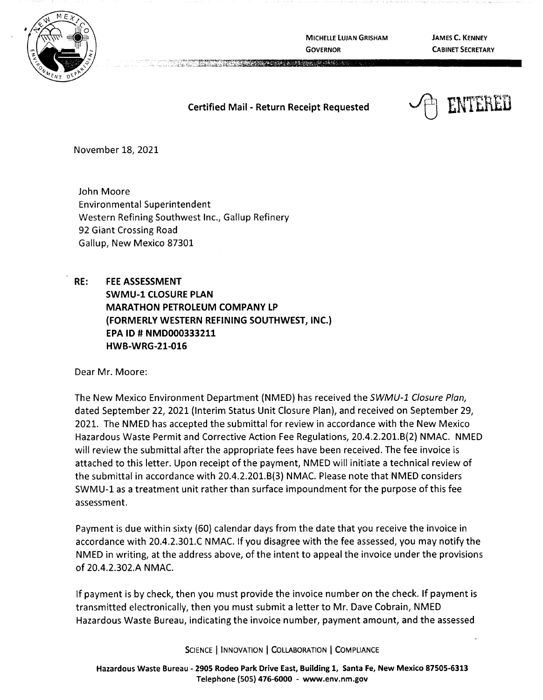

**MICHELLE LUJAN GRISHAM GOVERNOR** 

**JAMES C. KENNEY CABINET SECRETARY** 

## **Certified Mail** - **Return Receipt Requested**

a server the server of the server of the server of the server of the server of the server of the server of the



November 18, 2021

John Moore Environmental Superintendent Western Refining Southwest Inc., Gallup Refinery 92 Giant Crossing Road Gallup, New Mexico 87301

**RE: FEE ASSESSMENT SWMU-1 CLOSURE PLAN MARATHON PETROLEUM COMPANY LP {FORMERLY WESTERN REFINING SOUTHWEST, INC.) EPA ID# NMD000333211 HWB-WRG-21-016** 

Dear Mr. Moore:

The New Mexico Environment Department (NMED) has received the SWMU-1 Closure Plan, dated September 22, 2021 (Interim Status Unit Closure Plan), and received on September 29, 2021. The NMED has accepted the submittal for review in accordance with the New Mexico Hazardous Waste Permit and Corrective Action Fee Regulations, 20.4.2.201.8(2) NMAC. NMED will review the submittal after the appropriate fees have been received. The fee invoice is attached to this letter. Upon receipt of the payment, NMED will initiate a technical review of the submittal in accordance with 20.4.2.201.8(3) NMAC. Please note that NMED considers SWMU-1 as a treatment unit rather than surface impoundment for the purpose of this fee assessment.

Payment is due within sixty (60) calendar days from the date that you receive the invoice in accordance with 20.4.2.301.C NMAC. If you disagree with the fee assessed, you may notify the NMED in writing, at the address above, of the intent to appeal the invoice under the provisions of 20.4.2.302.A NMAC.

If payment is by check, then you must provide the invoice number on the check. If payment is transmitted electronically, then you must submit a letter to Mr. Dave Cobrain, NMED Hazardous Waste Bureau, indicating the invoice number, payment amount, and the assessed

SCIENCE | INNOVATION | COLLABORATION | COMPLIANCE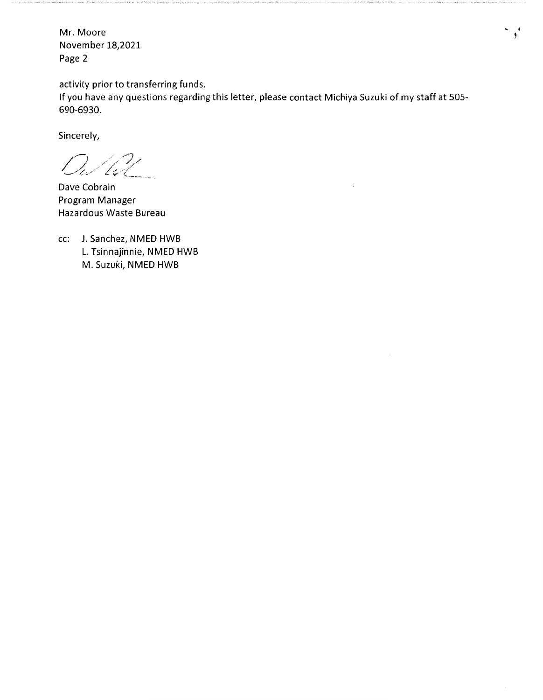Mr. Moore November 18,2021 Page 2

activity prior to transferring funds.

If you have any questions regarding this letter, please contact Michiya Suzuki of my staff at 505- 690-6930.

 $\ddot{\phantom{a}}$ 

Sincerely,

 $D_u/l_u^2l$ 

Dave Cobrain Program Manager Hazardous Waste Bureau

cc: J. Sanchez, NMED HWB L. Tsinnajinnie, NMED HWB M. Suzuki, NMED HWB